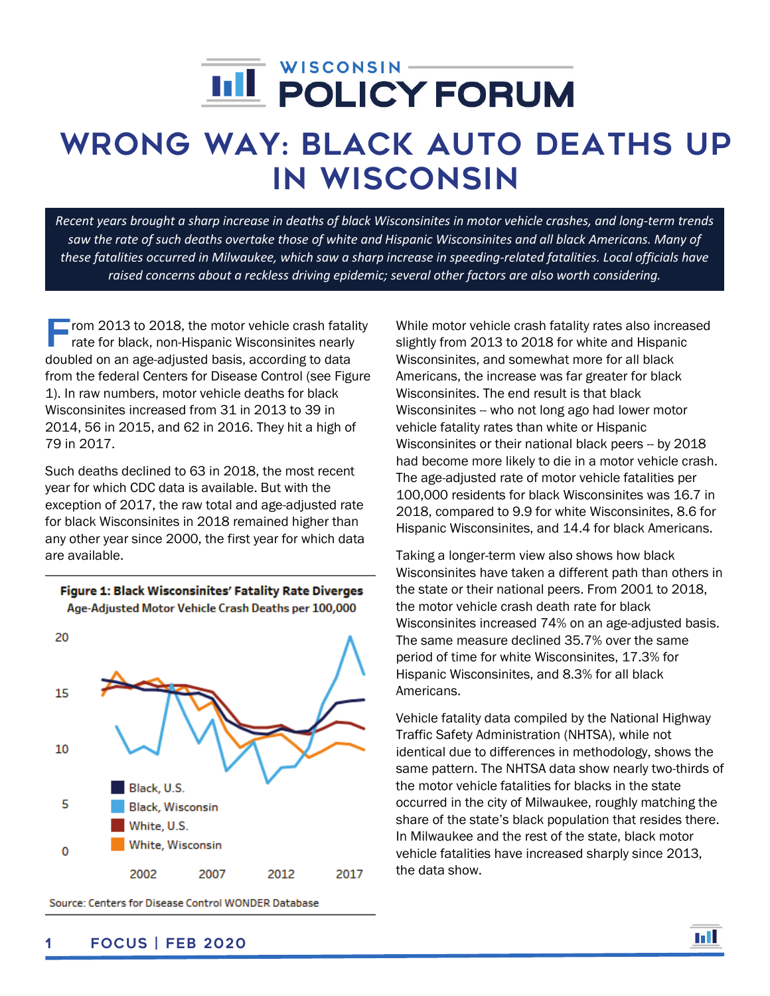# í

## Wrong Way: Black auto deaths up in Wisconsin

*Recent years brought a sharp increase in deaths of black Wisconsinites in motor vehicle crashes, and long-term trends saw the rate of such deaths overtake those of white and Hispanic Wisconsinites and all black Americans. Many of these fatalities occurred in Milwaukee, which saw a sharp increase in speeding-related fatalities. Local officials have raised concerns about a reckless driving epidemic; several other factors are also worth considering.*

From 2013 to 2018, the motor vehicle crash fatality<br>
rate for black, non-Hispanic Wisconsinites nearly rate for black, non-Hispanic Wisconsinites nearly doubled on an age-adjusted basis, according to data from the federal Centers for Disease Control (see Figure 1). In raw numbers, motor vehicle deaths for black Wisconsinites increased from 31 in 2013 to 39 in 2014, 56 in 2015, and 62 in 2016. They hit a high of 79 in 2017.

Such deaths declined to 63 in 2018, the most recent year for which CDC data is available. But with the exception of 2017, the raw total and age-adjusted rate for black Wisconsinites in 2018 remained higher than any other year since 2000, the first year for which data are available.



Figure 1: Black Wisconsinites' Fatality Rate Diverges Age-Adjusted Motor Vehicle Crash Deaths per 100,000

Source: Centers for Disease Control WONDER Database

While motor vehicle crash fatality rates also increased slightly from 2013 to 2018 for white and Hispanic Wisconsinites, and somewhat more for all black Americans, the increase was far greater for black Wisconsinites. The end result is that black Wisconsinites -- who not long ago had lower motor vehicle fatality rates than white or Hispanic Wisconsinites or their national black peers -- by 2018 had become more likely to die in a motor vehicle crash. The age-adjusted rate of motor vehicle fatalities per 100,000 residents for black Wisconsinites was 16.7 in 2018, compared to 9.9 for white Wisconsinites, 8.6 for Hispanic Wisconsinites, and 14.4 for black Americans.

Taking a longer-term view also shows how black Wisconsinites have taken a different path than others in the state or their national peers. From 2001 to 2018, the motor vehicle crash death rate for black Wisconsinites increased 74% on an age-adjusted basis. The same measure declined 35.7% over the same period of time for white Wisconsinites, 17.3% for Hispanic Wisconsinites, and 8.3% for all black Americans.

Vehicle fatality data compiled by the National Highway Traffic Safety Administration (NHTSA), while not identical due to differences in methodology, shows the same pattern. The NHTSA data show nearly two-thirds of the motor vehicle fatalities for blacks in the state occurred in the city of Milwaukee, roughly matching the share of the state's black population that resides there. In Milwaukee and the rest of the state, black motor vehicle fatalities have increased sharply since 2013, the data show.

m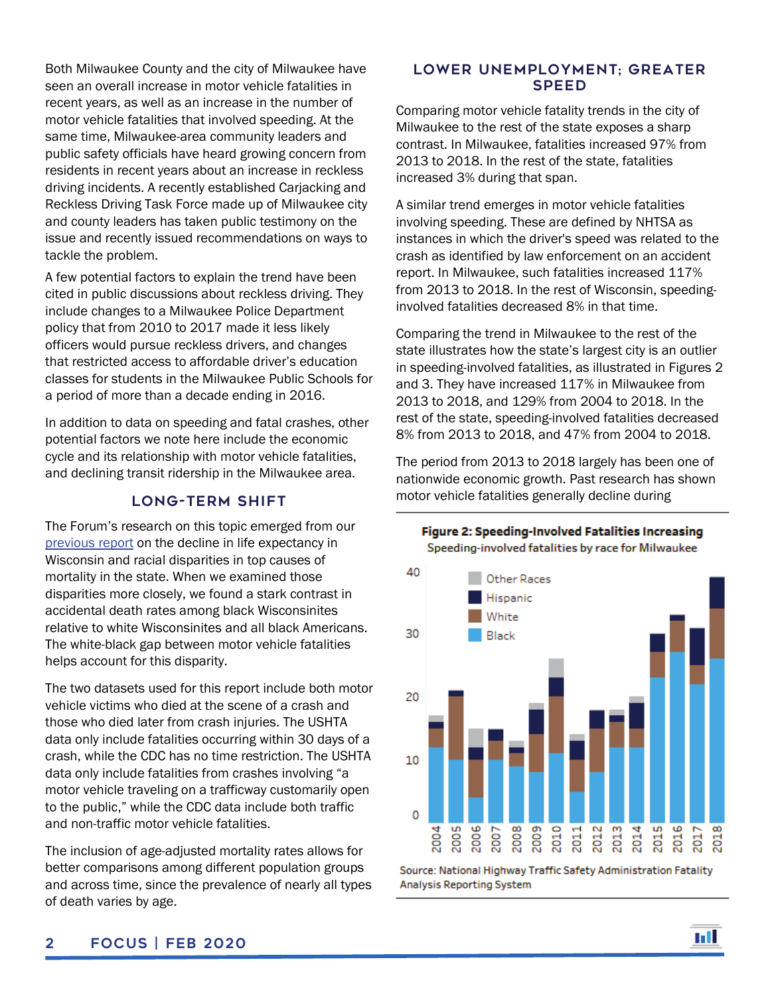Both Milwaukee County and the city of Milwaukee have seen an overall increase in motor vehicle fatalities in recent years, as well as an increase in the number of motor vehicle fatalities that involved speeding. At the same time, Milwaukee-area community leaders and public safety officials have heard growing concern from residents in recent years about an increase in reckless driving incidents. A recently established Carjacking and Reckless Driving Task Force made up of Milwaukee city and county leaders has taken public testimony on the issue and recently issued recommendations on ways to tackle the problem.

A few potential factors to explain the trend have been cited in public discussions about reckless driving. They include changes to a Milwaukee Police Department policy that from 2010 to 2017 made it less likely officers would pursue reckless drivers, and changes that restricted access to affordable driver's education classes for students in the Milwaukee Public Schools for a period of more than a decade ending in 2016.

In addition to data on speeding and fatal crashes, other potential factors we note here include the economic cycle and its relationship with motor vehicle fatalities, and declining transit ridership in the Milwaukee area.

#### Long-Term Shift

The Forum's research on this topic emerged from our [previous report](https://wispolicyforum.org/focus/troubling-trends-in-wisconsin-life-expectancy-down-alcohol-drug-and-suicide-deaths-up/) on the decline in life expectancy in Wisconsin and racial disparities in top causes of mortality in the state. When we examined those disparities more closely, we found a stark contrast in accidental death rates among black Wisconsinites relative to white Wisconsinites and all black Americans. The white-black gap between motor vehicle fatalities helps account for this disparity.

The two datasets used for this report include both motor vehicle victims who died at the scene of a crash and those who died later from crash injuries. The USHTA data only include fatalities occurring within 30 days of a crash, while the CDC has no time restriction. The USHTA data only include fatalities from crashes involving "a motor vehicle traveling on a trafficway customarily open to the public," while the CDC data include both traffic and non-traffic motor vehicle fatalities.

The inclusion of age-adjusted mortality rates allows for better comparisons among different population groups and across time, since the prevalence of nearly all types of death varies by age.

#### Lower Unemployment; Greater **SPEED**

Comparing motor vehicle fatality trends in the city of Milwaukee to the rest of the state exposes a sharp contrast. In Milwaukee, fatalities increased 97% from 2013 to 2018. In the rest of the state, fatalities increased 3% during that span.

A similar trend emerges in motor vehicle fatalities involving speeding. These are defined by NHTSA as instances in which the driver's speed was related to the crash as identified by law enforcement on an accident report. In Milwaukee, such fatalities increased 117% from 2013 to 2018. In the rest of Wisconsin, speedinginvolved fatalities decreased 8% in that time.

Comparing the trend in Milwaukee to the rest of the state illustrates how the state's largest city is an outlier in speeding-involved fatalities, as illustrated in Figures 2 and 3. They have increased 117% in Milwaukee from 2013 to 2018, and 129% from 2004 to 2018. In the rest of the state, speeding-involved fatalities decreased 8% from 2013 to 2018, and 47% from 2004 to 2018.

The period from 2013 to 2018 largely has been one of nationwide economic growth. Past research has shown motor vehicle fatalities generally decline during



Source: National Highway Traffic Safety Administration Fatality Analysis Reporting System



#### Figure 2: Speeding-Involved Fatalities Increasing Speeding-involved fatalities by race for Milwaukee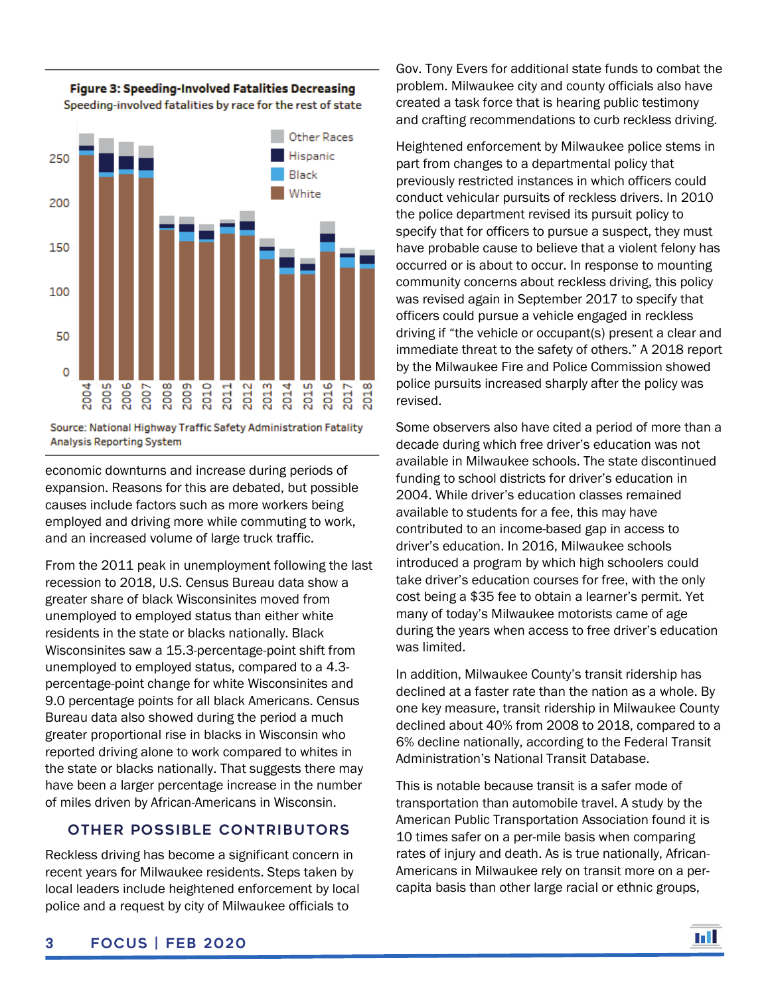

Figure 3: Speeding-Involved Fatalities Decreasing Speeding-involved fatalities by race for the rest of state

Source: National Highway Traffic Safety Administration Fatality Analysis Reporting System

economic downturns and increase during periods of expansion. Reasons for this are debated, but possible causes include factors such as more workers being employed and driving more while commuting to work, and an increased volume of large truck traffic.

From the 2011 peak in unemployment following the last recession to 2018, U.S. Census Bureau data show a greater share of black Wisconsinites moved from unemployed to employed status than either white residents in the state or blacks nationally. Black Wisconsinites saw a 15.3-percentage-point shift from unemployed to employed status, compared to a 4.3 percentage-point change for white Wisconsinites and 9.0 percentage points for all black Americans. Census Bureau data also showed during the period a much greater proportional rise in blacks in Wisconsin who reported driving alone to work compared to whites in the state or blacks nationally. That suggests there may have been a larger percentage increase in the number of miles driven by African-Americans in Wisconsin.

### Other Possible contributors

Reckless driving has become a significant concern in recent years for Milwaukee residents. Steps taken by local leaders include heightened enforcement by local police and a request by city of Milwaukee officials to

Gov. Tony Evers for additional state funds to combat the problem. Milwaukee city and county officials also have created a task force that is hearing public testimony and crafting recommendations to curb reckless driving.

Heightened enforcement by Milwaukee police stems in part from changes to a departmental policy that previously restricted instances in which officers could conduct vehicular pursuits of reckless drivers. In 2010 the police department revised its pursuit policy to specify that for officers to pursue a suspect, they must have probable cause to believe that a violent felony has occurred or is about to occur. In response to mounting community concerns about reckless driving, this policy was revised again in September 2017 to specify that officers could pursue a vehicle engaged in reckless driving if "the vehicle or occupant(s) present a clear and immediate threat to the safety of others." A 2018 report by the Milwaukee Fire and Police Commission showed police pursuits increased sharply after the policy was revised.

Some observers also have cited a period of more than a decade during which free driver's education was not available in Milwaukee schools. The state discontinued funding to school districts for driver's education in 2004. While driver's education classes remained available to students for a fee, this may have contributed to an income-based gap in access to driver's education. In 2016, Milwaukee schools introduced a program by which high schoolers could take driver's education courses for free, with the only cost being a \$35 fee to obtain a learner's permit. Yet many of today's Milwaukee motorists came of age during the years when access to free driver's education was limited.

In addition, Milwaukee County's transit ridership has declined at a faster rate than the nation as a whole. By one key measure, transit ridership in Milwaukee County declined about 40% from 2008 to 2018, compared to a 6% decline nationally, according to the Federal Transit Administration's National Transit Database.

This is notable because transit is a safer mode of transportation than automobile travel. A study by the American Public Transportation Association found it is 10 times safer on a per-mile basis when comparing rates of injury and death. As is true nationally, African-Americans in Milwaukee rely on transit more on a percapita basis than other large racial or ethnic groups,